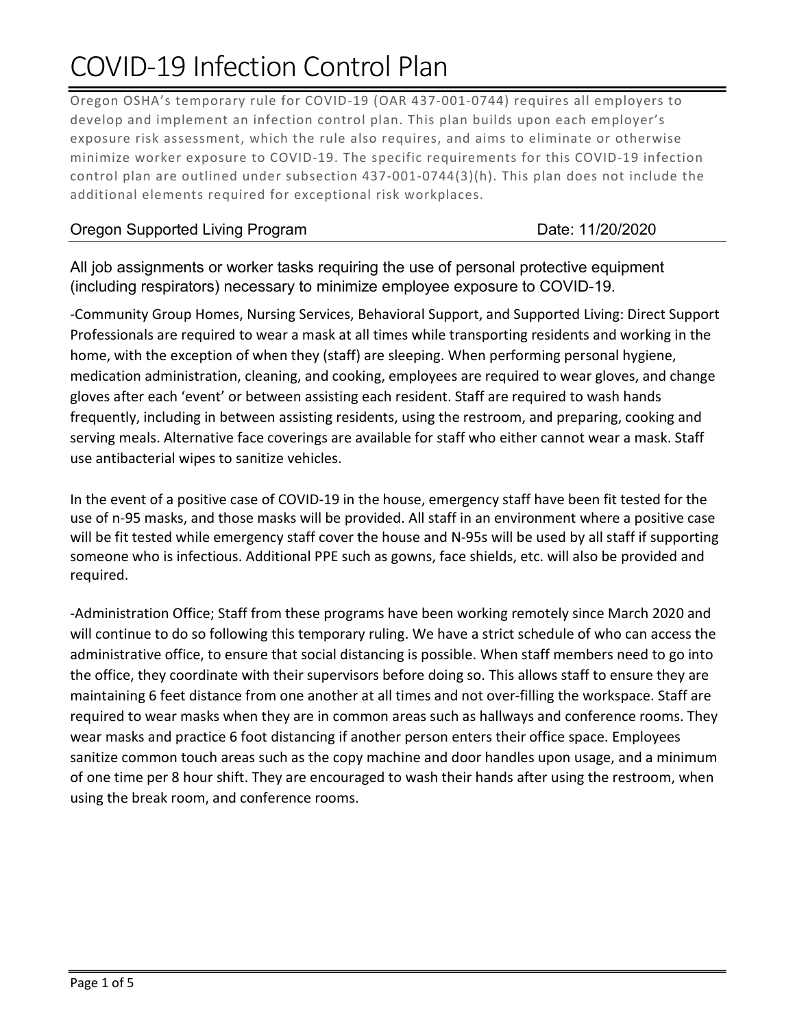## COVID-19 Infection Control Plan

Oregon OSHA's temporary rule for COVID-19 (OAR 437-001-0744) requires all employers to develop and implement an infection control plan. This plan builds upon each employer's exposure risk assessment, which the rule also requires, and aims to eliminate or otherwise minimize worker exposure to COVID-19. The specific requirements for this COVID-19 infection control plan are outlined under subsection 437-001-0744(3)(h). This plan does not include the additional elements required for exceptional risk workplaces.

## Oregon Supported Living Program Date: 11/20/2020

All job assignments or worker tasks requiring the use of personal protective equipment (including respirators) necessary to minimize employee exposure to COVID-19.

-Community Group Homes, Nursing Services, Behavioral Support, and Supported Living: Direct Support Professionals are required to wear a mask at all times while transporting residents and working in the home, with the exception of when they (staff) are sleeping. When performing personal hygiene, medication administration, cleaning, and cooking, employees are required to wear gloves, and change gloves after each 'event' or between assisting each resident. Staff are required to wash hands frequently, including in between assisting residents, using the restroom, and preparing, cooking and serving meals. Alternative face coverings are available for staff who either cannot wear a mask. Staff use antibacterial wipes to sanitize vehicles.

In the event of a positive case of COVID-19 in the house, emergency staff have been fit tested for the use of n-95 masks, and those masks will be provided. All staff in an environment where a positive case will be fit tested while emergency staff cover the house and N-95s will be used by all staff if supporting someone who is infectious. Additional PPE such as gowns, face shields, etc. will also be provided and required.

-Administration Office; Staff from these programs have been working remotely since March 2020 and will continue to do so following this temporary ruling. We have a strict schedule of who can access the administrative office, to ensure that social distancing is possible. When staff members need to go into the office, they coordinate with their supervisors before doing so. This allows staff to ensure they are maintaining 6 feet distance from one another at all times and not over-filling the workspace. Staff are required to wear masks when they are in common areas such as hallways and conference rooms. They wear masks and practice 6 foot distancing if another person enters their office space. Employees sanitize common touch areas such as the copy machine and door handles upon usage, and a minimum of one time per 8 hour shift. They are encouraged to wash their hands after using the restroom, when using the break room, and conference rooms.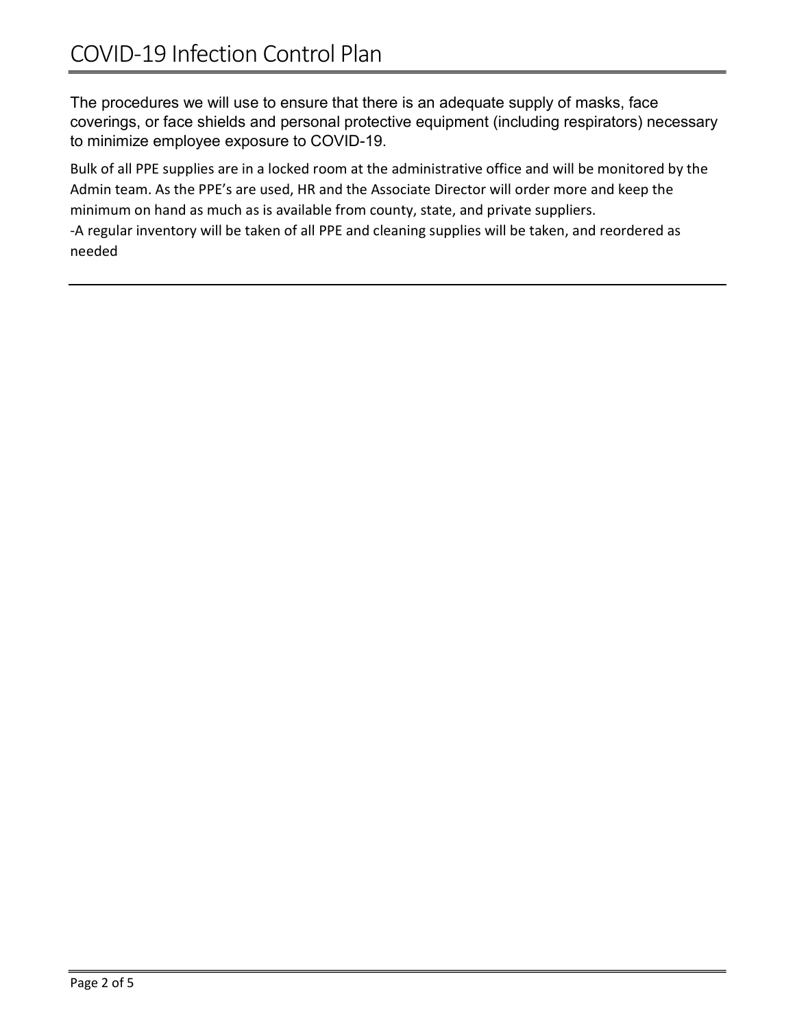The procedures we will use to ensure that there is an adequate supply of masks, face coverings, or face shields and personal protective equipment (including respirators) necessary to minimize employee exposure to COVID-19.

Bulk of all PPE supplies are in a locked room at the administrative office and will be monitored by the Admin team. As the PPE's are used, HR and the Associate Director will order more and keep the minimum on hand as much as is available from county, state, and private suppliers.

-A regular inventory will be taken of all PPE and cleaning supplies will be taken, and reordered as needed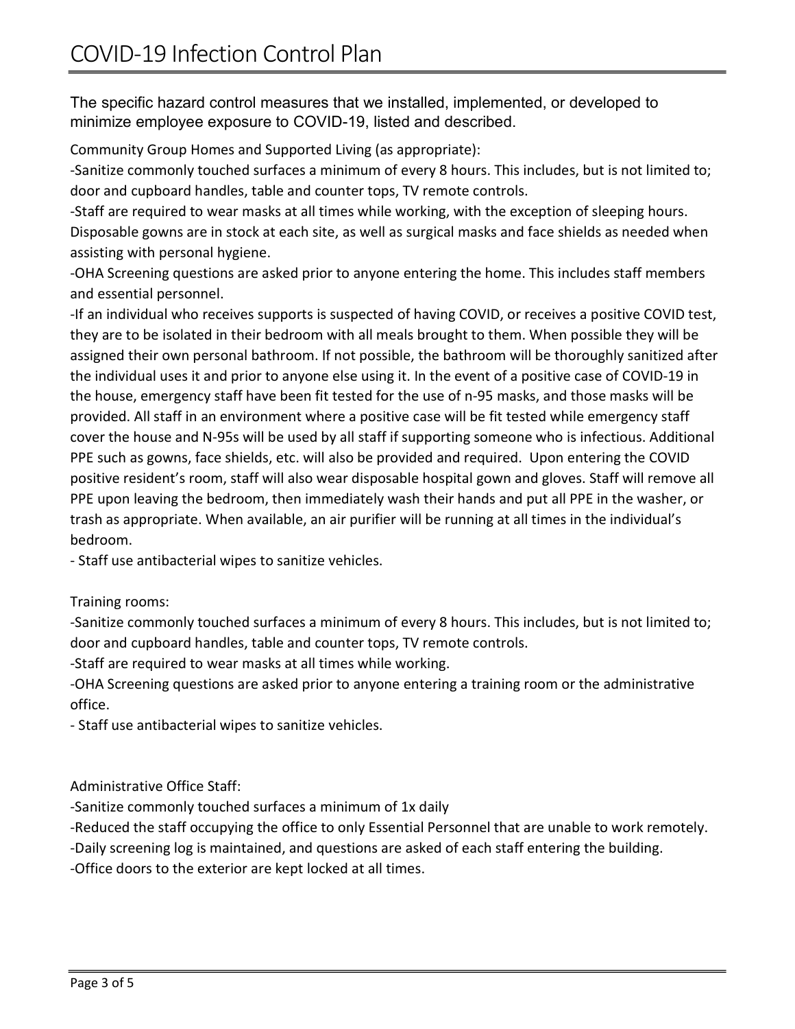The specific hazard control measures that we installed, implemented, or developed to minimize employee exposure to COVID-19, listed and described.

Community Group Homes and Supported Living (as appropriate):

-Sanitize commonly touched surfaces a minimum of every 8 hours. This includes, but is not limited to; door and cupboard handles, table and counter tops, TV remote controls.

-Staff are required to wear masks at all times while working, with the exception of sleeping hours. Disposable gowns are in stock at each site, as well as surgical masks and face shields as needed when assisting with personal hygiene.

-OHA Screening questions are asked prior to anyone entering the home. This includes staff members and essential personnel.

-If an individual who receives supports is suspected of having COVID, or receives a positive COVID test, they are to be isolated in their bedroom with all meals brought to them. When possible they will be assigned their own personal bathroom. If not possible, the bathroom will be thoroughly sanitized after the individual uses it and prior to anyone else using it. In the event of a positive case of COVID-19 in the house, emergency staff have been fit tested for the use of n-95 masks, and those masks will be provided. All staff in an environment where a positive case will be fit tested while emergency staff cover the house and N-95s will be used by all staff if supporting someone who is infectious. Additional PPE such as gowns, face shields, etc. will also be provided and required. Upon entering the COVID positive resident's room, staff will also wear disposable hospital gown and gloves. Staff will remove all PPE upon leaving the bedroom, then immediately wash their hands and put all PPE in the washer, or trash as appropriate. When available, an air purifier will be running at all times in the individual's bedroom.

- Staff use antibacterial wipes to sanitize vehicles.

Training rooms:

-Sanitize commonly touched surfaces a minimum of every 8 hours. This includes, but is not limited to; door and cupboard handles, table and counter tops, TV remote controls.

-Staff are required to wear masks at all times while working.

-OHA Screening questions are asked prior to anyone entering a training room or the administrative office.

- Staff use antibacterial wipes to sanitize vehicles.

Administrative Office Staff:

-Sanitize commonly touched surfaces a minimum of 1x daily

-Reduced the staff occupying the office to only Essential Personnel that are unable to work remotely.

-Daily screening log is maintained, and questions are asked of each staff entering the building.

-Office doors to the exterior are kept locked at all times.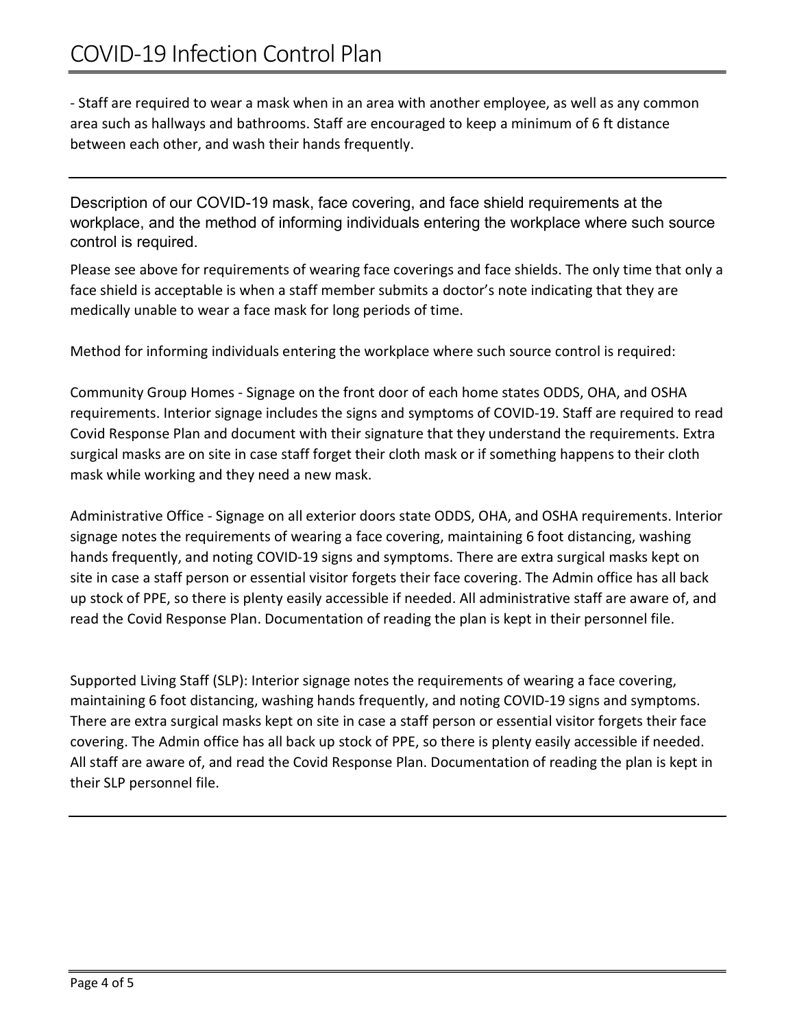- Staff are required to wear a mask when in an area with another employee, as well as any common area such as hallways and bathrooms. Staff are encouraged to keep a minimum of 6 ft distance between each other, and wash their hands frequently.

Description of our COVID-19 mask, face covering, and face shield requirements at the workplace, and the method of informing individuals entering the workplace where such source control is required.

Please see above for requirements of wearing face coverings and face shields. The only time that only a face shield is acceptable is when a staff member submits a doctor's note indicating that they are medically unable to wear a face mask for long periods of time.

Method for informing individuals entering the workplace where such source control is required:

Community Group Homes - Signage on the front door of each home states ODDS, OHA, and OSHA requirements. Interior signage includes the signs and symptoms of COVID-19. Staff are required to read Covid Response Plan and document with their signature that they understand the requirements. Extra surgical masks are on site in case staff forget their cloth mask or if something happens to their cloth mask while working and they need a new mask.

Administrative Office - Signage on all exterior doors state ODDS, OHA, and OSHA requirements. Interior signage notes the requirements of wearing a face covering, maintaining 6 foot distancing, washing hands frequently, and noting COVID-19 signs and symptoms. There are extra surgical masks kept on site in case a staff person or essential visitor forgets their face covering. The Admin office has all back up stock of PPE, so there is plenty easily accessible if needed. All administrative staff are aware of, and read the Covid Response Plan. Documentation of reading the plan is kept in their personnel file.

Supported Living Staff (SLP): Interior signage notes the requirements of wearing a face covering, maintaining 6 foot distancing, washing hands frequently, and noting COVID-19 signs and symptoms. There are extra surgical masks kept on site in case a staff person or essential visitor forgets their face covering. The Admin office has all back up stock of PPE, so there is plenty easily accessible if needed. All staff are aware of, and read the Covid Response Plan. Documentation of reading the plan is kept in their SLP personnel file.